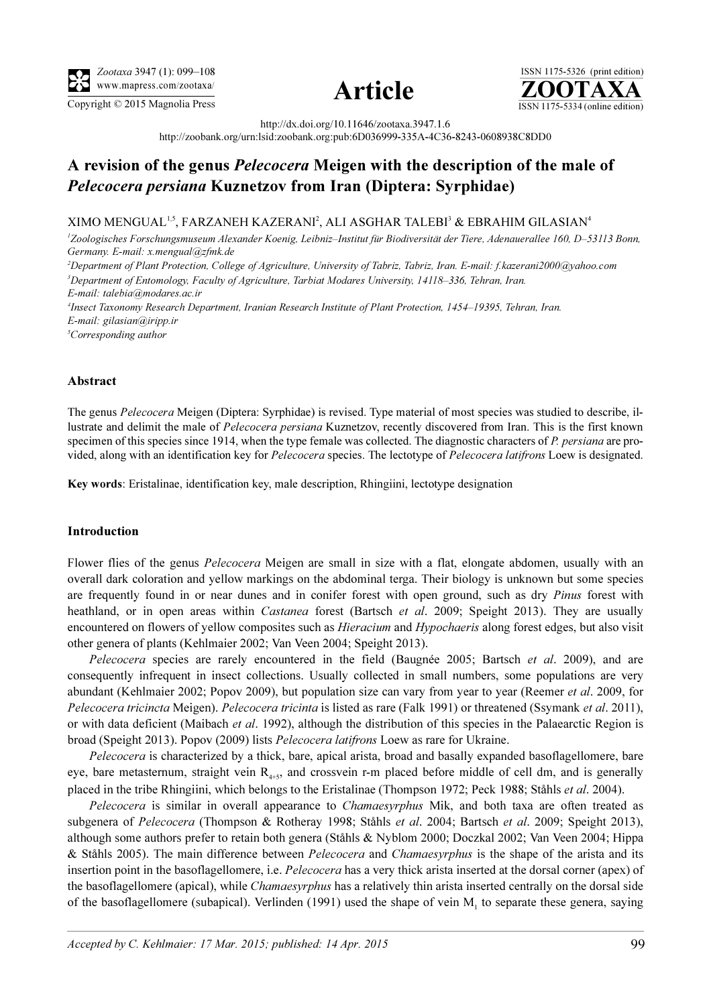



ISSN 1175-5326 (print edition)<br> $\overline{{\bf ZOOTAXA}}$ Copyright © 2015 Magnolia Press ISSN 1175-5334 (online edition)

http://dx.doi.org/10.11646/zootaxa.3947.1.6

http://zoobank.org/urn:lsid:zoobank.org:pub:6D036999-335A-4C36-8243-0608938C8DD0

# A revision of the genus Pelecocera Meigen with the description of the male of Pelecocera persiana Kuznetzov from Iran (Diptera: Syrphidae)

## XIMO MENGUAL<sup>1,5</sup>, FARZANEH KAZERANI<sup>2</sup>, ALI ASGHAR TALEBI<sup>3</sup> & EBRAHIM GILASIAN<sup>4</sup>

1 Zoologisches Forschungsmuseum Alexander Koenig, Leibniz–Institut für Biodiversität der Tiere, Adenauerallee 160, D–53113 Bonn, Germany. E-mail: x.mengual@zfmk.de

2 Department of Plant Protection, College of Agriculture, University of Tabriz, Tabriz, Iran. E-mail: f.kazerani2000@yahoo.com <sup>3</sup>Department of Entomology, Faculty of Agriculture, Tarbiat Modares University, 14118–336, Tehran, Iran. E-mail: talebia@modares.ac.ir

4 Insect Taxonomy Research Department, Iranian Research Institute of Plant Protection, 1454–19395, Tehran, Iran. E-mail: gilasian@iripp.ir

<sup>5</sup>Corresponding author

## Abstract

The genus Pelecocera Meigen (Diptera: Syrphidae) is revised. Type material of most species was studied to describe, illustrate and delimit the male of Pelecocera persiana Kuznetzov, recently discovered from Iran. This is the first known specimen of this species since 1914, when the type female was collected. The diagnostic characters of P. persiana are provided, along with an identification key for *Pelecocera* species. The lectotype of *Pelecocera latifrons* Loew is designated.

Key words: Eristalinae, identification key, male description, Rhingiini, lectotype designation

## Introduction

Flower flies of the genus Pelecocera Meigen are small in size with a flat, elongate abdomen, usually with an overall dark coloration and yellow markings on the abdominal terga. Their biology is unknown but some species are frequently found in or near dunes and in conifer forest with open ground, such as dry Pinus forest with heathland, or in open areas within *Castanea* forest (Bartsch et al. 2009; Speight 2013). They are usually encountered on flowers of yellow composites such as *Hieracium* and *Hypochaeris* along forest edges, but also visit other genera of plants (Kehlmaier 2002; Van Veen 2004; Speight 2013).

Pelecocera species are rarely encountered in the field (Baugnée 2005; Bartsch et al. 2009), and are consequently infrequent in insect collections. Usually collected in small numbers, some populations are very abundant (Kehlmaier 2002; Popov 2009), but population size can vary from year to year (Reemer et al. 2009, for Pelecocera tricincta Meigen). Pelecocera tricinta is listed as rare (Falk 1991) or threatened (Ssymank et al. 2011), or with data deficient (Maibach et al. 1992), although the distribution of this species in the Palaearctic Region is broad (Speight 2013). Popov (2009) lists Pelecocera latifrons Loew as rare for Ukraine.

Pelecocera is characterized by a thick, bare, apical arista, broad and basally expanded basoflagellomere, bare eye, bare metasternum, straight vein  $R_{4+5}$ , and crossvein r-m placed before middle of cell dm, and is generally placed in the tribe Rhingiini, which belongs to the Eristalinae (Thompson 1972; Peck 1988; Ståhls et al. 2004).

Pelecocera is similar in overall appearance to *Chamaesyrphus* Mik, and both taxa are often treated as subgenera of Pelecocera (Thompson & Rotheray 1998; Ståhls et al. 2004; Bartsch et al. 2009; Speight 2013), although some authors prefer to retain both genera (Ståhls & Nyblom 2000; Doczkal 2002; Van Veen 2004; Hippa & Ståhls 2005). The main difference between Pelecocera and Chamaesyrphus is the shape of the arista and its insertion point in the basoflagellomere, i.e. *Pelecocera* has a very thick arista inserted at the dorsal corner (apex) of the basoflagellomere (apical), while *Chamaesyrphus* has a relatively thin arista inserted centrally on the dorsal side of the basoflagellomere (subapical). Verlinden (1991) used the shape of vein  $M<sub>1</sub>$  to separate these genera, saying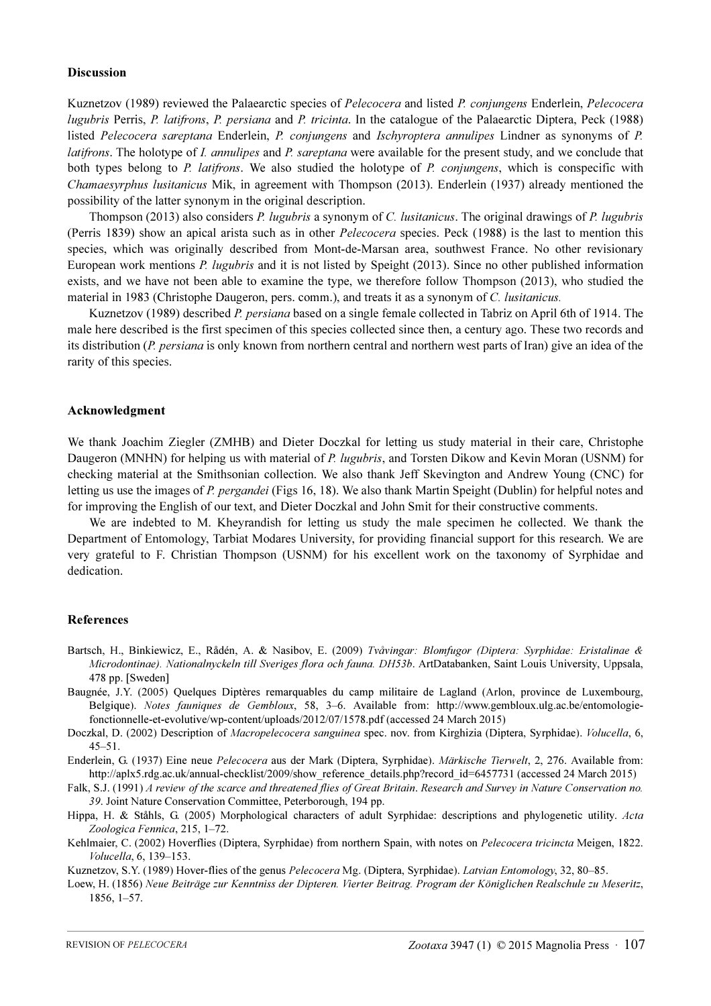#### Discussion

Kuznetzov (1989) reviewed the Palaearctic species of Pelecocera and listed P. conjungens Enderlein, Pelecocera lugubris Perris, P. latifrons, P. persiana and P. tricinta. In the catalogue of the Palaearctic Diptera, Peck (1988) listed Pelecocera sareptana Enderlein, P. conjungens and Ischyroptera annulipes Lindner as synonyms of P. latifrons. The holotype of *I. annulipes* and *P. sareptana* were available for the present study, and we conclude that both types belong to P. latifrons. We also studied the holotype of P. conjungens, which is conspecific with Chamaesyrphus lusitanicus Mik, in agreement with Thompson (2013). Enderlein (1937) already mentioned the possibility of the latter synonym in the original description.

Thompson (2013) also considers P. lugubris a synonym of C. lusitanicus. The original drawings of P. lugubris (Perris 1839) show an apical arista such as in other *Pelecocera* species. Peck (1988) is the last to mention this species, which was originally described from Mont-de-Marsan area, southwest France. No other revisionary European work mentions P. lugubris and it is not listed by Speight (2013). Since no other published information exists, and we have not been able to examine the type, we therefore follow Thompson (2013), who studied the material in 1983 (Christophe Daugeron, pers. comm.), and treats it as a synonym of C. lusitanicus.

Kuznetzov (1989) described P. persiana based on a single female collected in Tabriz on April 6th of 1914. The male here described is the first specimen of this species collected since then, a century ago. These two records and its distribution (P. persiana is only known from northern central and northern west parts of Iran) give an idea of the rarity of this species.

#### Acknowledgment

We thank Joachim Ziegler (ZMHB) and Dieter Doczkal for letting us study material in their care, Christophe Daugeron (MNHN) for helping us with material of P. lugubris, and Torsten Dikow and Kevin Moran (USNM) for checking material at the Smithsonian collection. We also thank Jeff Skevington and Andrew Young (CNC) for letting us use the images of P. pergandei (Figs 16, 18). We also thank Martin Speight (Dublin) for helpful notes and for improving the English of our text, and Dieter Doczkal and John Smit for their constructive comments.

We are indebted to M. Kheyrandish for letting us study the male specimen he collected. We thank the Department of Entomology, Tarbiat Modares University, for providing financial support for this research. We are very grateful to F. Christian Thompson (USNM) for his excellent work on the taxonomy of Syrphidae and dedication.

#### References

- Bartsch, H., Binkiewicz, E., Rådén, A. & Nasibov, E. (2009) Tvåvingar: Blomfugor (Diptera: Syrphidae: Eristalinae & Microdontinae). Nationalnyckeln till Sveriges flora och fauna. DH53b. ArtDatabanken, Saint Louis University, Uppsala, 478 pp. [Sweden]
- Baugnée, J.Y. (2005) Quelques Diptères remarquables du camp militaire de Lagland (Arlon, province de Luxembourg, Belgique). Notes fauniques de Gembloux, 58, 3–6. Available from: http://www.gembloux.ulg.ac.be/entomologiefonctionnelle-et-evolutive/wp-content/uploads/2012/07/1578.pdf (accessed 24 March 2015)
- Doczkal, D. (2002) Description of Macropelecocera sanguinea spec. nov. from Kirghizia (Diptera, Syrphidae). Volucella, 6, 45–51.

Enderlein, G. (1937) Eine neue Pelecocera aus der Mark (Diptera, Syrphidae). Märkische Tierwelt[, 2, 276. Available from:](http://aplx5.rdg.ac.uk/annual-checklist/2009/show_reference_details.php?record_id=6457731) [http://aplx5.rdg.ac.uk/annual-checklist/2009/show\\_reference\\_details.php?record\\_id=6457731 \(accessed 24 March 2015\)](http://aplx5.rdg.ac.uk/annual-checklist/2009/show_reference_details.php?record_id=6457731)

Falk, S.J. (1991) A review of the scarce and threatened flies of Great Britain. Research and Survey in Nature Conservation no. 39. Joint Nature Conservation Committee, Peterborough, 194 pp.

Hippa, H. & Ståhls, G. (2005) Morphological characters of adult Syrphidae: descriptions and phylogenetic utility. Acta Zoologica Fennica, 215, 1–72.

Kehlmaier, C. (2002) Hoverflies (Diptera, Syrphidae) from northern Spain, with notes on Pelecocera tricincta Meigen, 1822. Volucella, 6, 139–153.

Kuznetzov, S.Y. (1989) Hover-flies of the genus Pelecocera Mg. (Diptera, Syrphidae). Latvian Entomology, 32, 80–85.

Loew, H. (1856) Neue Beiträge zur Kenntniss der Dipteren. Vierter Beitrag. Program der Königlichen Realschule zu Meseritz, 1856, 1–57.